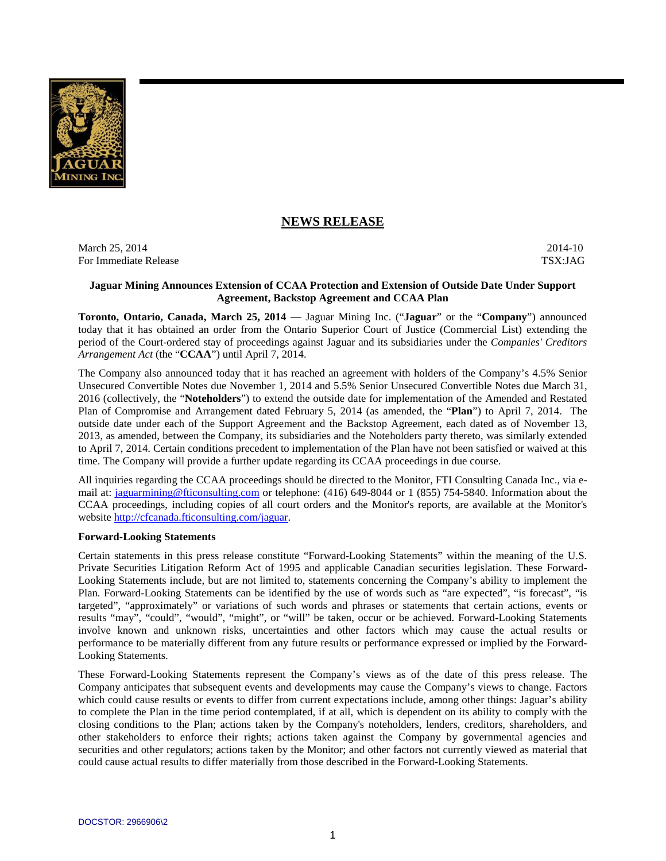

# **NEWS RELEASE**

March 25, 2014-10 2014-10 For Immediate Release TSX:JAG

## **Jaguar Mining Announces Extension of CCAA Protection and Extension of Outside Date Under Support Agreement, Backstop Agreement and CCAA Plan**

**Toronto, Ontario, Canada, March 25, 2014** — Jaguar Mining Inc. ("**Jaguar**" or the "**Company**") announced today that it has obtained an order from the Ontario Superior Court of Justice (Commercial List) extending the period of the Court-ordered stay of proceedings against Jaguar and its subsidiaries under the *Companies' Creditors Arrangement Act* (the "**CCAA**") until April 7, 2014.

The Company also announced today that it has reached an agreement with holders of the Company's 4.5% Senior Unsecured Convertible Notes due November 1, 2014 and 5.5% Senior Unsecured Convertible Notes due March 31, 2016 (collectively, the "**Noteholders**") to extend the outside date for implementation of the Amended and Restated Plan of Compromise and Arrangement dated February 5, 2014 (as amended, the "**Plan**") to April 7, 2014. The outside date under each of the Support Agreement and the Backstop Agreement, each dated as of November 13, 2013, as amended, between the Company, its subsidiaries and the Noteholders party thereto, was similarly extended to April 7, 2014. Certain conditions precedent to implementation of the Plan have not been satisfied or waived at this time. The Company will provide a further update regarding its CCAA proceedings in due course.

All inquiries regarding the CCAA proceedings should be directed to the Monitor, FTI Consulting Canada Inc., via email at: jaguarmining@fticonsulting.com or telephone: (416) 649-8044 or 1 (855) 754-5840. Information about the CCAA proceedings, including copies of all court orders and the Monitor's reports, are available at the Monitor's website http://cfcanada.fticonsulting.com/jaguar.

# **Forward-Looking Statements**

Certain statements in this press release constitute "Forward-Looking Statements" within the meaning of the U.S. Private Securities Litigation Reform Act of 1995 and applicable Canadian securities legislation. These Forward-Looking Statements include, but are not limited to, statements concerning the Company's ability to implement the Plan. Forward-Looking Statements can be identified by the use of words such as "are expected", "is forecast", "is targeted", "approximately" or variations of such words and phrases or statements that certain actions, events or results "may", "could", "would", "might", or "will" be taken, occur or be achieved. Forward-Looking Statements involve known and unknown risks, uncertainties and other factors which may cause the actual results or performance to be materially different from any future results or performance expressed or implied by the Forward-Looking Statements.

These Forward-Looking Statements represent the Company's views as of the date of this press release. The Company anticipates that subsequent events and developments may cause the Company's views to change. Factors which could cause results or events to differ from current expectations include, among other things: Jaguar's ability to complete the Plan in the time period contemplated, if at all, which is dependent on its ability to comply with the closing conditions to the Plan; actions taken by the Company's noteholders, lenders, creditors, shareholders, and other stakeholders to enforce their rights; actions taken against the Company by governmental agencies and securities and other regulators; actions taken by the Monitor; and other factors not currently viewed as material that could cause actual results to differ materially from those described in the Forward-Looking Statements.